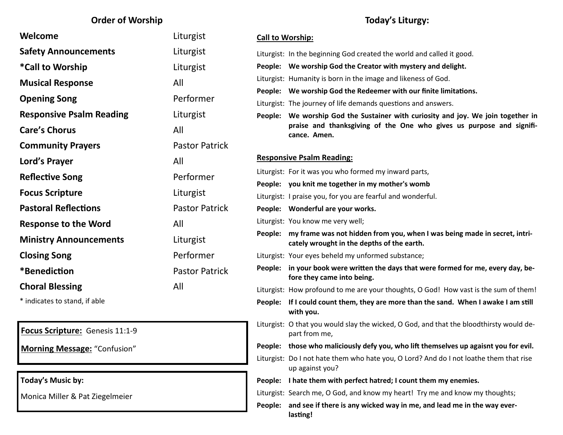#### **Order of Worship**

| Welcome                         | Liturgist             |
|---------------------------------|-----------------------|
| <b>Safety Announcements</b>     | Liturgist             |
| *Call to Worship                | Liturgist             |
| <b>Musical Response</b>         | All                   |
| <b>Opening Song</b>             | Performer             |
| <b>Responsive Psalm Reading</b> | Liturgist             |
| <b>Care's Chorus</b>            | All                   |
| <b>Community Prayers</b>        | <b>Pastor Patrick</b> |
| Lord's Prayer                   | All                   |
| <b>Reflective Song</b>          | Performer             |
| <b>Focus Scripture</b>          | Liturgist             |
| <b>Pastoral Reflections</b>     | <b>Pastor Patrick</b> |
| <b>Response to the Word</b>     | All                   |
| <b>Ministry Announcements</b>   | Liturgist             |
| <b>Closing Song</b>             | Performer             |
| *Benediction                    | <b>Pastor Patrick</b> |
| <b>Choral Blessing</b>          | All                   |
|                                 |                       |

\* indicates to stand, if able

#### **Focus Scripture:** Genesis 11:1-9

**Morning Message:** "Confusion"

**Today's Music by:** 

Monica Miller & Pat Ziegelmeier

#### **Today's Liturgy:**

| <b>Call to Worship:</b> |                                                                                                                                                                          |  |
|-------------------------|--------------------------------------------------------------------------------------------------------------------------------------------------------------------------|--|
|                         | Liturgist: In the beginning God created the world and called it good.                                                                                                    |  |
|                         | People: We worship God the Creator with mystery and delight.                                                                                                             |  |
|                         | Liturgist: Humanity is born in the image and likeness of God.                                                                                                            |  |
|                         | People: We worship God the Redeemer with our finite limitations.                                                                                                         |  |
|                         | Liturgist: The journey of life demands questions and answers.                                                                                                            |  |
|                         | People: We worship God the Sustainer with curiosity and joy. We join together in<br>praise and thanksgiving of the One who gives us purpose and signifi-<br>cance. Amen. |  |
|                         | <b>Responsive Psalm Reading:</b>                                                                                                                                         |  |
|                         | Liturgist: For it was you who formed my inward parts,                                                                                                                    |  |
|                         | People: you knit me together in my mother's womb                                                                                                                         |  |
|                         | Liturgist: I praise you, for you are fearful and wonderful.                                                                                                              |  |
|                         | People: Wonderful are your works.                                                                                                                                        |  |
|                         | Liturgist: You know me very well;                                                                                                                                        |  |
| People:                 | my frame was not hidden from you, when I was being made in secret, intri-<br>cately wrought in the depths of the earth.                                                  |  |
|                         | Liturgist: Your eyes beheld my unformed substance;                                                                                                                       |  |
|                         | People: in your book were written the days that were formed for me, every day, be-<br>fore they came into being.                                                         |  |
|                         | Liturgist: How profound to me are your thoughts, O God! How vast is the sum of them!                                                                                     |  |
| People:                 | If I could count them, they are more than the sand. When I awake I am still<br>with you.                                                                                 |  |
|                         | Liturgist: O that you would slay the wicked, O God, and that the bloodthirsty would de-<br>part from me,                                                                 |  |
| People: l               | those who maliciously defy you, who lift themselves up agaisnt you for evil.                                                                                             |  |
|                         | Liturgist: Do I not hate them who hate you, O Lord? And do I not loathe them that rise<br>up against you?                                                                |  |
| People:                 | I hate them with perfect hatred; I count them my enemies.                                                                                                                |  |
|                         | Liturgist: Search me, O God, and know my heart! Try me and know my thoughts;                                                                                             |  |
| People:                 | and see if there is any wicked way in me, and lead me in the way ever-<br>lasting!                                                                                       |  |